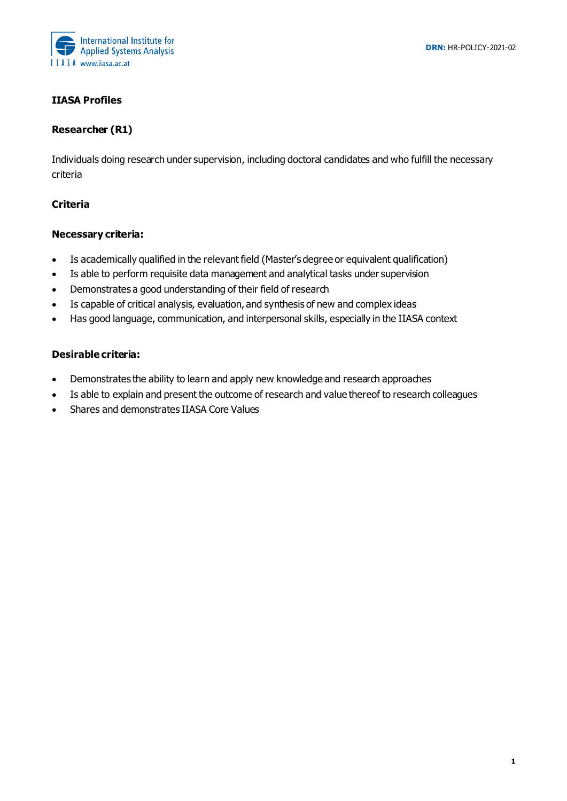

# **IIASA Profiles**

## **Researcher (R1)**

Individuals doing research under supervision, including doctoral candidates and who fulfill the necessary criteria

## **Criteria**

## **Necessary criteria:**

- Is academically qualified in the relevant field (Master's degree or equivalent qualification)
- Is able to perform requisite data management and analytical tasks under supervision
- Demonstrates a good understanding of their field of research
- Is capable of critical analysis, evaluation, and synthesis of new and complex ideas
- Has good language, communication, and interpersonal skills, especially in the IIASA context

- Demonstrates the ability to learn and apply new knowledge and research approaches
- Is able to explain and present the outcome of research and value thereof to research colleagues
- Shares and demonstrates IIASA Core Values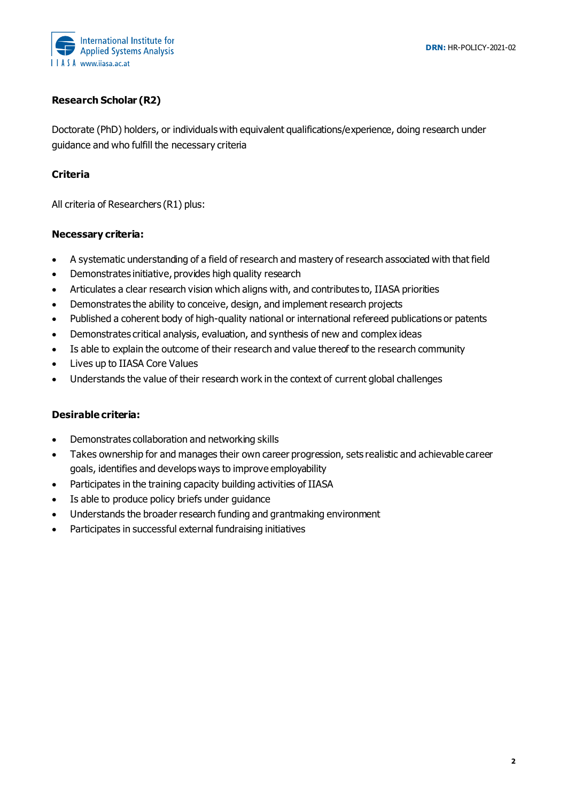

# **Research Scholar (R2)**

Doctorate (PhD) holders, or individuals with equivalent qualifications/experience, doing research under guidance and who fulfill the necessary criteria

## **Criteria**

All criteria of Researchers (R1) plus:

#### **Necessary criteria:**

- A systematic understanding of a field of research and mastery of research associated with that field
- Demonstrates initiative, provides high quality research
- Articulates a clear research vision which aligns with, and contributes to, IIASA priorities
- Demonstrates the ability to conceive, design, and implement research projects
- Published a coherent body of high-quality national or international refereed publications or patents
- Demonstrates critical analysis, evaluation, and synthesis of new and complex ideas
- Is able to explain the outcome of their research and value thereof to the research community
- Lives up to IIASA Core Values
- Understands the value of their research work in the context of current global challenges

- Demonstrates collaboration and networking skills
- Takes ownership for and manages their own career progression, sets realistic and achievable career goals, identifies and develops ways to improve employability
- Participates in the training capacity building activities of IIASA
- Is able to produce policy briefs under guidance
- Understands the broader research funding and grantmaking environment
- Participates in successful external fundraising initiatives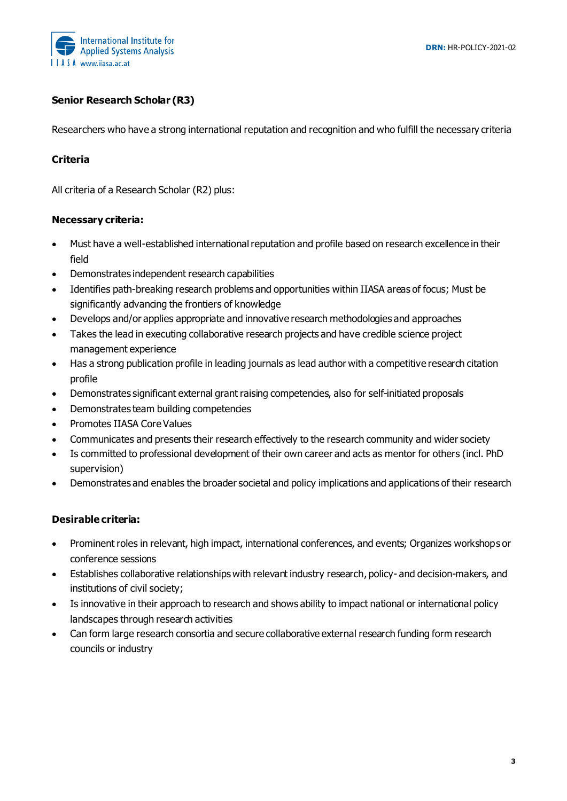

# **Senior Research Scholar (R3)**

Researchers who have a strong international reputation and recognition and who fulfill the necessary criteria

## **Criteria**

All criteria of a Research Scholar (R2) plus:

## **Necessary criteria:**

- Must have a well-established international reputation and profile based on research excellence in their field
- Demonstrates independent research capabilities
- Identifies path-breaking research problems and opportunities within IIASA areas of focus; Must be significantly advancing the frontiers of knowledge
- Develops and/or applies appropriate and innovative research methodologies and approaches
- Takes the lead in executing collaborative research projects and have credible science project management experience
- Has a strong publication profile in leading journals as lead author with a competitive research citation profile
- Demonstrates significant external grant raising competencies, also for self-initiated proposals
- Demonstrates team building competencies
- Promotes IIASA Core Values
- Communicates and presents their research effectively to the research community and wider society
- Is committed to professional development of their own career and acts as mentor for others (incl. PhD supervision)
- Demonstrates and enables the broader societal and policy implications and applications of their research

- Prominent roles in relevant, high impact, international conferences, and events; Organizes workshops or conference sessions
- Establishes collaborative relationships with relevant industry research, policy- and decision-makers, and institutions of civil society;
- Is innovative in their approach to research and shows ability to impact national or international policy landscapes through research activities
- Can form large research consortia and secure collaborative external research funding form research councils or industry